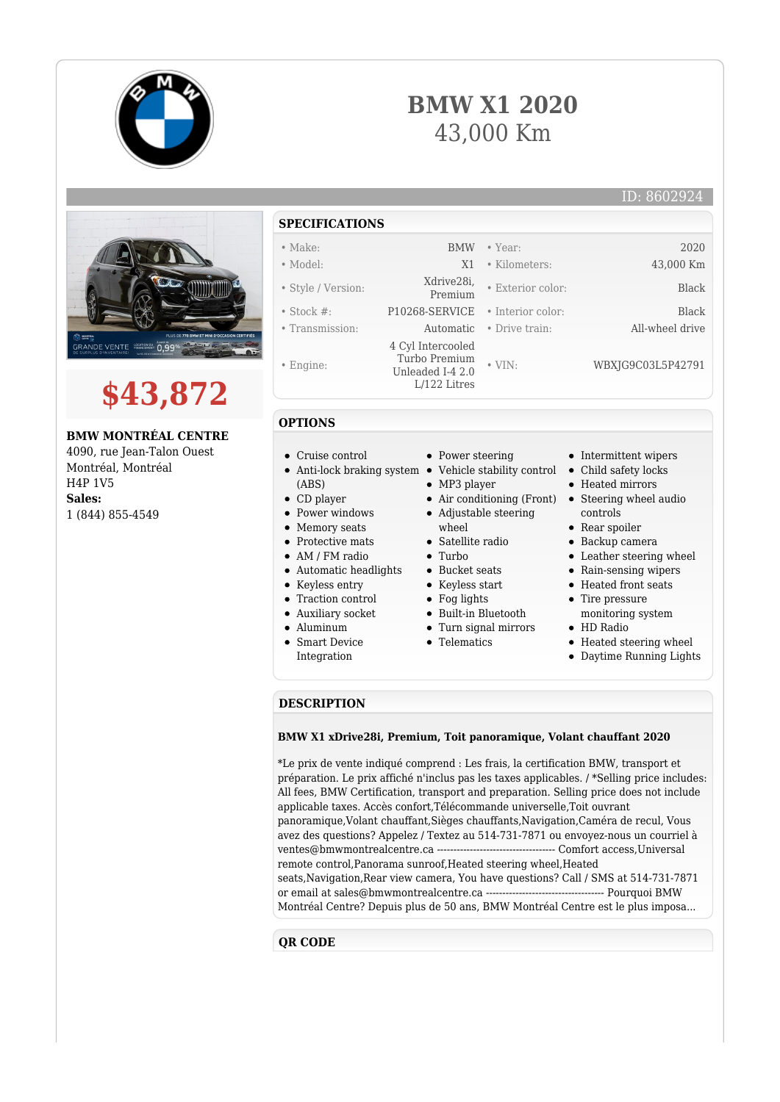







**BMW MONTRÉAL CENTRE**

4090, rue Jean-Talon Ouest Montréal, Montréal H4P 1V5 **Sales:** 1 (844) 855-4549

# **SPECIFICATIONS**

- Make: BMW Year: 2020
- Model: X1 Kilometers: 43,000 Km
- Style / Version: Xdrive28i,
- Stock #: P10268-SERVICE Interior color: Black
- 
- Engine:
- 
- Transmission: Automatic Drive train: All-wheel drive 4 Cyl Intercooled Turbo Premium Unleaded I-4 2.0 L/122 Litres
	- Power steering
		-
		-
		-
		- Adjustable steering
		-
		-
		-
		-
		-
		-
		-
		-
		-
- Intermittent wipers
- Child safety locks

• Exterior color: Black

• VIN: WBXJG9C03L5P42791

- Heated mirrors
- Air conditioning (Front) Steering wheel audio controls
	- Rear spoiler
	- Backup camera
	- Leather steering wheel
	- Rain-sensing wipers
	- Heated front seats
	- Tire pressure
	- monitoring system HD Radio
	- Heated steering wheel
	- Daytime Running Lights

## **DESCRIPTION**

### **BMW X1 xDrive28i, Premium, Toit panoramique, Volant chauffant 2020**

\*Le prix de vente indiqué comprend : Les frais, la certification BMW, transport et préparation. Le prix affiché n'inclus pas les taxes applicables. / \*Selling price includes: All fees, BMW Certification, transport and preparation. Selling price does not include applicable taxes. Accès confort,Télécommande universelle,Toit ouvrant panoramique,Volant chauffant,Sièges chauffants,Navigation,Caméra de recul, Vous avez des questions? Appelez / Textez au 514-731-7871 ou envoyez-nous un courriel à ventes@bmwmontrealcentre.ca ------------------------------------ Comfort access,Universal remote control,Panorama sunroof,Heated steering wheel,Heated seats,Navigation,Rear view camera, You have questions? Call / SMS at 514-731-7871 or email at sales@bmwmontrealcentre.ca ------------------------------------ Pourquoi BMW Montréal Centre? Depuis plus de 50 ans, BMW Montréal Centre est le plus imposa...

### **QR CODE**

- **OPTIONS**
- Cruise control
- Anti-lock braking system Vehicle stability control
- (ABS)
- CD player
- Power windows
- Memory seats
- Protective mats
- AM / FM radio
- Automatic headlights
- Keyless entry
- 
- 
- - Integration
- 
- whool
- Satellite radio
- 
- 
- 
- Traction control
- Auxiliary socket
- Aluminum
- Smart Device
- MP3 player
- -
- Turbo
- - Keyless start
		- Fog lights
	- Built-in Bluetooth
	- -
- 
- -
	- -
- 

• Bucket seats

- 
- 
- Turn signal mirrors
- **•** Telematics
- 
- 
- 
-